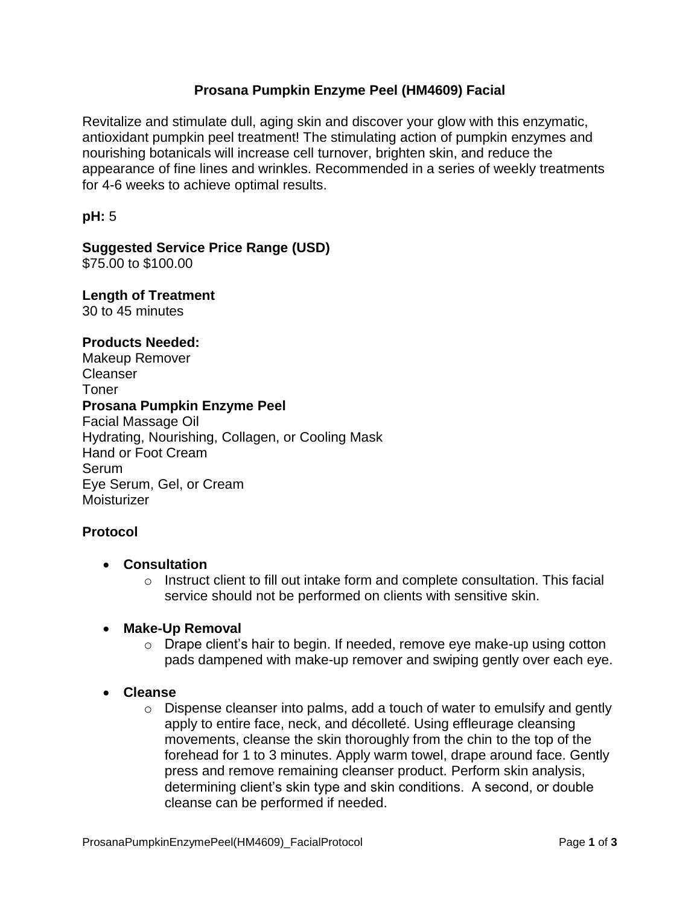### **Prosana Pumpkin Enzyme Peel (HM4609) Facial**

Revitalize and stimulate dull, aging skin and discover your glow with this enzymatic, antioxidant pumpkin peel treatment! The stimulating action of pumpkin enzymes and nourishing botanicals will increase cell turnover, brighten skin, and reduce the appearance of fine lines and wrinkles. Recommended in a series of weekly treatments for 4-6 weeks to achieve optimal results.

**pH:** 5

# **Suggested Service Price Range (USD)**

\$75.00 to \$100.00

**Length of Treatment**  30 to 45 minutes

**Products Needed:**

Makeup Remover Cleanser Toner **Prosana Pumpkin Enzyme Peel**  Facial Massage Oil Hydrating, Nourishing, Collagen, or Cooling Mask Hand or Foot Cream Serum Eye Serum, Gel, or Cream Moisturizer

### **Protocol**

- **Consultation**
	- $\circ$  Instruct client to fill out intake form and complete consultation. This facial service should not be performed on clients with sensitive skin.
- **Make-Up Removal**
	- o Drape client's hair to begin. If needed, remove eye make-up using cotton pads dampened with make-up remover and swiping gently over each eye.
- **Cleanse** 
	- $\circ$  Dispense cleanser into palms, add a touch of water to emulsify and gently apply to entire face, neck, and décolleté. Using effleurage cleansing movements, cleanse the skin thoroughly from the chin to the top of the forehead for 1 to 3 minutes. Apply warm towel, drape around face. Gently press and remove remaining cleanser product. Perform skin analysis, determining client's skin type and skin conditions. A second, or double cleanse can be performed if needed.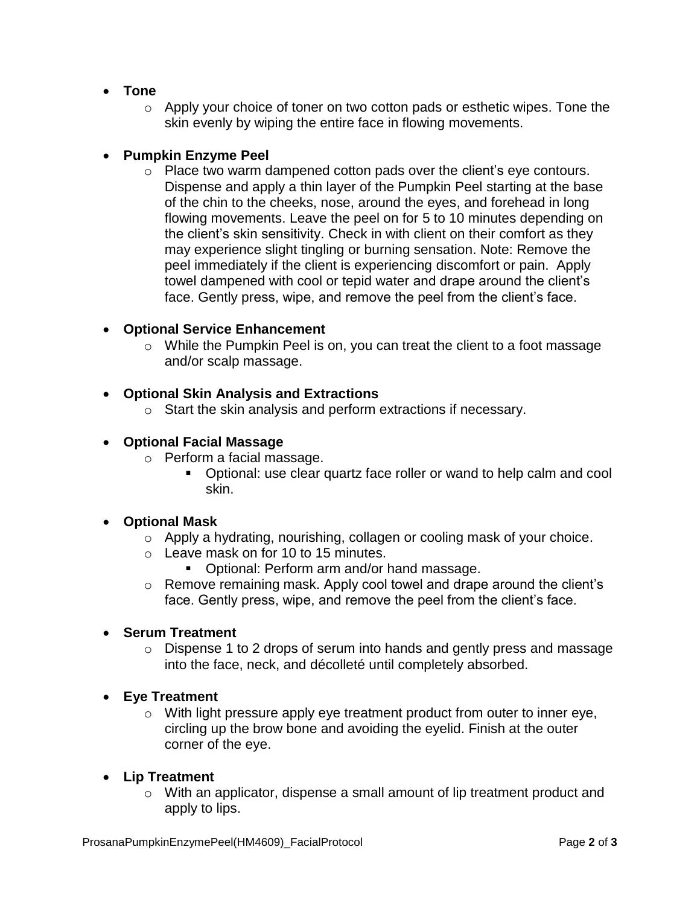- **Tone**
	- o Apply your choice of toner on two cotton pads or esthetic wipes. Tone the skin evenly by wiping the entire face in flowing movements.

# **Pumpkin Enzyme Peel**

 $\circ$  Place two warm dampened cotton pads over the client's eve contours. Dispense and apply a thin layer of the Pumpkin Peel starting at the base of the chin to the cheeks, nose, around the eyes, and forehead in long flowing movements. Leave the peel on for 5 to 10 minutes depending on the client's skin sensitivity. Check in with client on their comfort as they may experience slight tingling or burning sensation. Note: Remove the peel immediately if the client is experiencing discomfort or pain. Apply towel dampened with cool or tepid water and drape around the client's face. Gently press, wipe, and remove the peel from the client's face.

## **Optional Service Enhancement**

o While the Pumpkin Peel is on, you can treat the client to a foot massage and/or scalp massage.

## **Optional Skin Analysis and Extractions**

o Start the skin analysis and perform extractions if necessary.

## **Optional Facial Massage**

- o Perform a facial massage.
	- Optional: use clear quartz face roller or wand to help calm and cool skin.

### **Optional Mask**

- o Apply a hydrating, nourishing, collagen or cooling mask of your choice.
- o Leave mask on for 10 to 15 minutes.
	- Optional: Perform arm and/or hand massage.
- o Remove remaining mask. Apply cool towel and drape around the client's face. Gently press, wipe, and remove the peel from the client's face.

## **Serum Treatment**

o Dispense 1 to 2 drops of serum into hands and gently press and massage into the face, neck, and décolleté until completely absorbed.

### **Eye Treatment**

 $\circ$  With light pressure apply eye treatment product from outer to inner eye, circling up the brow bone and avoiding the eyelid. Finish at the outer corner of the eye.

### **Lip Treatment**

o With an applicator, dispense a small amount of lip treatment product and apply to lips.